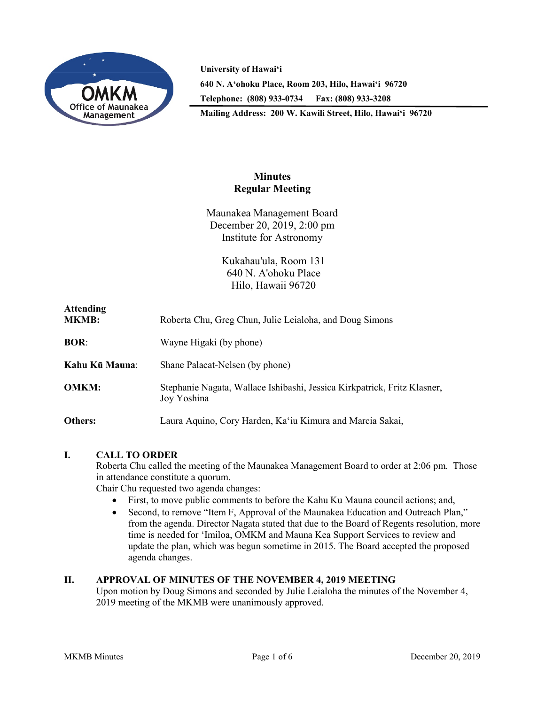

**University of Hawai'i 640 N. A'ohoku Place, Room 203, Hilo, Hawai'i 96720 Telephone: (808) 933-0734 Fax: (808) 933-3208**

**Mailing Address: 200 W. Kawili Street, Hilo, Hawai'i 96720**

# **Minutes Regular Meeting**

Maunakea Management Board December 20, 2019, 2:00 pm Institute for Astronomy

> Kukahau'ula, Room 131 640 N. A'ohoku Place Hilo, Hawaii 96720

| <b>Attending</b><br><b>MKMB:</b> | Roberta Chu, Greg Chun, Julie Leialoha, and Doug Simons                                 |
|----------------------------------|-----------------------------------------------------------------------------------------|
| BOR:                             | Wayne Higaki (by phone)                                                                 |
| Kahu Kū Mauna:                   | Shane Palacat-Nelsen (by phone)                                                         |
| <b>OMKM:</b>                     | Stephanie Nagata, Wallace Ishibashi, Jessica Kirkpatrick, Fritz Klasner,<br>Joy Yoshina |
| Others:                          | Laura Aquino, Cory Harden, Ka'iu Kimura and Marcia Sakai,                               |

# **I. CALL TO ORDER**

Roberta Chu called the meeting of the Maunakea Management Board to order at 2:06 pm. Those in attendance constitute a quorum.

Chair Chu requested two agenda changes:

- First, to move public comments to before the Kahu Ku Mauna council actions; and,
- Second, to remove "Item F, Approval of the Maunakea Education and Outreach Plan," from the agenda. Director Nagata stated that due to the Board of Regents resolution, more time is needed for 'Imiloa, OMKM and Mauna Kea Support Services to review and update the plan, which was begun sometime in 2015. The Board accepted the proposed agenda changes.

## **II. APPROVAL OF MINUTES OF THE NOVEMBER 4, 2019 MEETING**

Upon motion by Doug Simons and seconded by Julie Leialoha the minutes of the November 4, 2019 meeting of the MKMB were unanimously approved.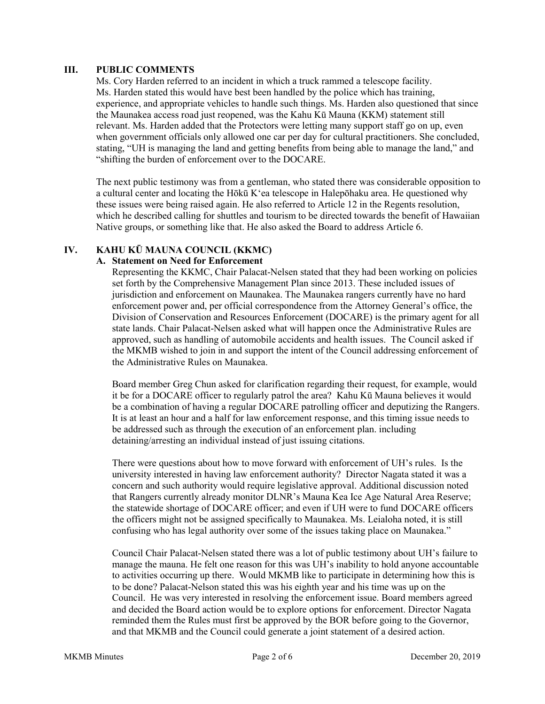#### **III. PUBLIC COMMENTS**

Ms. Cory Harden referred to an incident in which a truck rammed a telescope facility. Ms. Harden stated this would have best been handled by the police which has training, experience, and appropriate vehicles to handle such things. Ms. Harden also questioned that since the Maunakea access road just reopened, was the Kahu Kū Mauna (KKM) statement still relevant. Ms. Harden added that the Protectors were letting many support staff go on up, even when government officials only allowed one car per day for cultural practitioners. She concluded, stating, "UH is managing the land and getting benefits from being able to manage the land," and "shifting the burden of enforcement over to the DOCARE.

The next public testimony was from a gentleman, who stated there was considerable opposition to a cultural center and locating the Hōkū Kʻea telescope in Halepōhaku area. He questioned why these issues were being raised again. He also referred to Article 12 in the Regents resolution, which he described calling for shuttles and tourism to be directed towards the benefit of Hawaiian Native groups, or something like that. He also asked the Board to address Article 6.

# **IV. KAHU KŪ MAUNA COUNCIL (KKMC)**

#### **A. Statement on Need for Enforcement**

Representing the KKMC, Chair Palacat-Nelsen stated that they had been working on policies set forth by the Comprehensive Management Plan since 2013. These included issues of jurisdiction and enforcement on Maunakea. The Maunakea rangers currently have no hard enforcement power and, per official correspondence from the Attorney General's office, the Division of Conservation and Resources Enforcement (DOCARE) is the primary agent for all state lands. Chair Palacat-Nelsen asked what will happen once the Administrative Rules are approved, such as handling of automobile accidents and health issues. The Council asked if the MKMB wished to join in and support the intent of the Council addressing enforcement of the Administrative Rules on Maunakea.

Board member Greg Chun asked for clarification regarding their request, for example, would it be for a DOCARE officer to regularly patrol the area? Kahu Kū Mauna believes it would be a combination of having a regular DOCARE patrolling officer and deputizing the Rangers. It is at least an hour and a half for law enforcement response, and this timing issue needs to be addressed such as through the execution of an enforcement plan. including detaining/arresting an individual instead of just issuing citations.

There were questions about how to move forward with enforcement of UH's rules. Is the university interested in having law enforcement authority? Director Nagata stated it was a concern and such authority would require legislative approval. Additional discussion noted that Rangers currently already monitor DLNR's Mauna Kea Ice Age Natural Area Reserve; the statewide shortage of DOCARE officer; and even if UH were to fund DOCARE officers the officers might not be assigned specifically to Maunakea. Ms. Leialoha noted, it is still confusing who has legal authority over some of the issues taking place on Maunakea."

Council Chair Palacat-Nelsen stated there was a lot of public testimony about UH's failure to manage the mauna. He felt one reason for this was UH's inability to hold anyone accountable to activities occurring up there. Would MKMB like to participate in determining how this is to be done? Palacat-Nelson stated this was his eighth year and his time was up on the Council. He was very interested in resolving the enforcement issue. Board members agreed and decided the Board action would be to explore options for enforcement. Director Nagata reminded them the Rules must first be approved by the BOR before going to the Governor, and that MKMB and the Council could generate a joint statement of a desired action.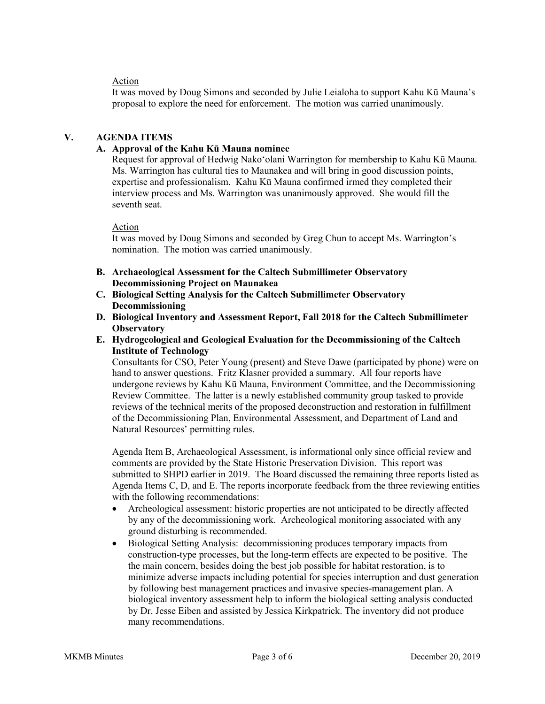## Action

It was moved by Doug Simons and seconded by Julie Leialoha to support Kahu Kū Mauna's proposal to explore the need for enforcement. The motion was carried unanimously.

## **V. AGENDA ITEMS**

## **A. Approval of the Kahu Kū Mauna nominee**

Request for approval of Hedwig Nakoʻolani Warrington for membership to Kahu Kū Mauna. Ms. Warrington has cultural ties to Maunakea and will bring in good discussion points, expertise and professionalism. Kahu Kū Mauna confirmed irmed they completed their interview process and Ms. Warrington was unanimously approved. She would fill the seventh seat.

#### Action

It was moved by Doug Simons and seconded by Greg Chun to accept Ms. Warrington's nomination. The motion was carried unanimously.

- **B. Archaeological Assessment for the Caltech Submillimeter Observatory Decommissioning Project on Maunakea**
- **C. Biological Setting Analysis for the Caltech Submillimeter Observatory Decommissioning**
- **D. Biological Inventory and Assessment Report, Fall 2018 for the Caltech Submillimeter Observatory**
- **E. Hydrogeological and Geological Evaluation for the Decommissioning of the Caltech Institute of Technology**

Consultants for CSO, Peter Young (present) and Steve Dawe (participated by phone) were on hand to answer questions. Fritz Klasner provided a summary. All four reports have undergone reviews by Kahu Kū Mauna, Environment Committee, and the Decommissioning Review Committee. The latter is a newly established community group tasked to provide reviews of the technical merits of the proposed deconstruction and restoration in fulfillment of the Decommissioning Plan, Environmental Assessment, and Department of Land and Natural Resources' permitting rules.

Agenda Item B, Archaeological Assessment, is informational only since official review and comments are provided by the State Historic Preservation Division. This report was submitted to SHPD earlier in 2019. The Board discussed the remaining three reports listed as Agenda Items C, D, and E. The reports incorporate feedback from the three reviewing entities with the following recommendations:

- Archeological assessment: historic properties are not anticipated to be directly affected by any of the decommissioning work. Archeological monitoring associated with any ground disturbing is recommended.
- Biological Setting Analysis: decommissioning produces temporary impacts from construction-type processes, but the long-term effects are expected to be positive. The the main concern, besides doing the best job possible for habitat restoration, is to minimize adverse impacts including potential for species interruption and dust generation by following best management practices and invasive species-management plan. A biological inventory assessment help to inform the biological setting analysis conducted by Dr. Jesse Eiben and assisted by Jessica Kirkpatrick. The inventory did not produce many recommendations.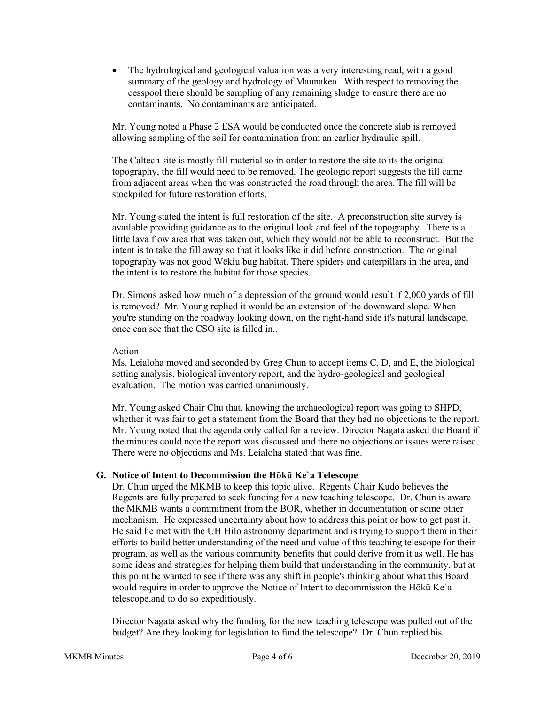• The hydrological and geological valuation was a very interesting read, with a good summary of the geology and hydrology of Maunakea. With respect to removing the cesspool there should be sampling of any remaining sludge to ensure there are no contaminants. No contaminants are anticipated.

Mr. Young noted a Phase 2 ESA would be conducted once the concrete slab is removed allowing sampling of the soil for contamination from an earlier hydraulic spill.

The Caltech site is mostly fill material so in order to restore the site to its the original topography, the fill would need to be removed. The geologic report suggests the fill came from adjacent areas when the was constructed the road through the area. The fill will be stockpiled for future restoration efforts.

Mr. Young stated the intent is full restoration of the site. A preconstruction site survey is available providing guidance as to the original look and feel of the topography. There is a little lava flow area that was taken out, which they would not be able to reconstruct. But the intent is to take the fill away so that it looks like it did before construction. The original topography was not good Wēkiu bug habitat. There spiders and caterpillars in the area, and the intent is to restore the habitat for those species.

Dr. Simons asked how much of a depression of the ground would result if 2,000 yards of fill is removed? Mr. Young replied it would be an extension of the downward slope. When you're standing on the roadway looking down, on the right-hand side it's natural landscape, once can see that the CSO site is filled in..

Action

Ms. Leialoha moved and seconded by Greg Chun to accept items C, D, and E, the biological setting analysis, biological inventory report, and the hydro-geological and geological evaluation. The motion was carried unanimously.

Mr. Young asked Chair Chu that, knowing the archaeological report was going to SHPD, whether it was fair to get a statement from the Board that they had no objections to the report. Mr. Young noted that the agenda only called for a review. Director Nagata asked the Board if the minutes could note the report was discussed and there no objections or issues were raised. There were no objections and Ms. Leialoha stated that was fine.

## **G. Notice of Intent to Decommission the Hōkū Ke`a Telescope**

Dr. Chun urged the MKMB to keep this topic alive. Regents Chair Kudo believes the Regents are fully prepared to seek funding for a new teaching telescope. Dr. Chun is aware the MKMB wants a commitment from the BOR, whether in documentation or some other mechanism. He expressed uncertainty about how to address this point or how to get past it. He said he met with the UH Hilo astronomy department and is trying to support them in their efforts to build better understanding of the need and value of this teaching telescope for their program, as well as the various community benefits that could derive from it as well. He has some ideas and strategies for helping them build that understanding in the community, but at this point he wanted to see if there was any shift in people's thinking about what this Board would require in order to approve the Notice of Intent to decommission the Hōkū Ke`a telescope,and to do so expeditiously.

Director Nagata asked why the funding for the new teaching telescope was pulled out of the budget? Are they looking for legislation to fund the telescope? Dr. Chun replied his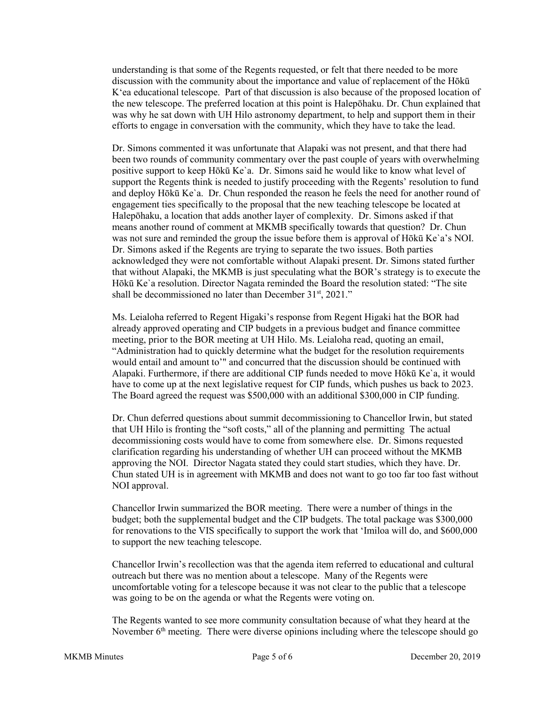understanding is that some of the Regents requested, or felt that there needed to be more discussion with the community about the importance and value of replacement of the Hōkū Kʻea educational telescope. Part of that discussion is also because of the proposed location of the new telescope. The preferred location at this point is Halepōhaku. Dr. Chun explained that was why he sat down with UH Hilo astronomy department, to help and support them in their efforts to engage in conversation with the community, which they have to take the lead.

Dr. Simons commented it was unfortunate that Alapaki was not present, and that there had been two rounds of community commentary over the past couple of years with overwhelming positive support to keep Hōkū Ke`a. Dr. Simons said he would like to know what level of support the Regents think is needed to justify proceeding with the Regents' resolution to fund and deploy Hōkū Ke`a. Dr. Chun responded the reason he feels the need for another round of engagement ties specifically to the proposal that the new teaching telescope be located at Halepōhaku, a location that adds another layer of complexity. Dr. Simons asked if that means another round of comment at MKMB specifically towards that question? Dr. Chun was not sure and reminded the group the issue before them is approval of Hōkū Ke`a's NOI. Dr. Simons asked if the Regents are trying to separate the two issues. Both parties acknowledged they were not comfortable without Alapaki present. Dr. Simons stated further that without Alapaki, the MKMB is just speculating what the BOR's strategy is to execute the Hōkū Ke`a resolution. Director Nagata reminded the Board the resolution stated: "The site shall be decommissioned no later than December 31<sup>st</sup>, 2021."

Ms. Leialoha referred to Regent Higaki's response from Regent Higaki hat the BOR had already approved operating and CIP budgets in a previous budget and finance committee meeting, prior to the BOR meeting at UH Hilo. Ms. Leialoha read, quoting an email, "Administration had to quickly determine what the budget for the resolution requirements would entail and amount to'" and concurred that the discussion should be continued with Alapaki. Furthermore, if there are additional CIP funds needed to move Hōkū Ke`a, it would have to come up at the next legislative request for CIP funds, which pushes us back to 2023. The Board agreed the request was \$500,000 with an additional \$300,000 in CIP funding.

Dr. Chun deferred questions about summit decommissioning to Chancellor Irwin, but stated that UH Hilo is fronting the "soft costs," all of the planning and permitting The actual decommissioning costs would have to come from somewhere else. Dr. Simons requested clarification regarding his understanding of whether UH can proceed without the MKMB approving the NOI. Director Nagata stated they could start studies, which they have. Dr. Chun stated UH is in agreement with MKMB and does not want to go too far too fast without NOI approval.

Chancellor Irwin summarized the BOR meeting. There were a number of things in the budget; both the supplemental budget and the CIP budgets. The total package was \$300,000 for renovations to the VIS specifically to support the work that ʻImiloa will do, and \$600,000 to support the new teaching telescope.

Chancellor Irwin's recollection was that the agenda item referred to educational and cultural outreach but there was no mention about a telescope. Many of the Regents were uncomfortable voting for a telescope because it was not clear to the public that a telescope was going to be on the agenda or what the Regents were voting on.

The Regents wanted to see more community consultation because of what they heard at the November  $6<sup>th</sup>$  meeting. There were diverse opinions including where the telescope should go